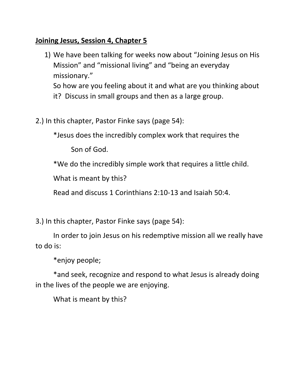## **Joining Jesus, Session 4, Chapter 5**

- 1) We have been talking for weeks now about "Joining Jesus on His Mission" and "missional living" and "being an everyday missionary." So how are you feeling about it and what are you thinking about
	- it? Discuss in small groups and then as a large group.
- 2.) In this chapter, Pastor Finke says (page 54):

\*Jesus does the incredibly complex work that requires the

Son of God.

\*We do the incredibly simple work that requires a little child.

What is meant by this?

Read and discuss 1 Corinthians 2:10-13 and Isaiah 50:4.

3.) In this chapter, Pastor Finke says (page 54):

In order to join Jesus on his redemptive mission all we really have to do is:

\*enjoy people;

\*and seek, recognize and respond to what Jesus is already doing in the lives of the people we are enjoying.

What is meant by this?